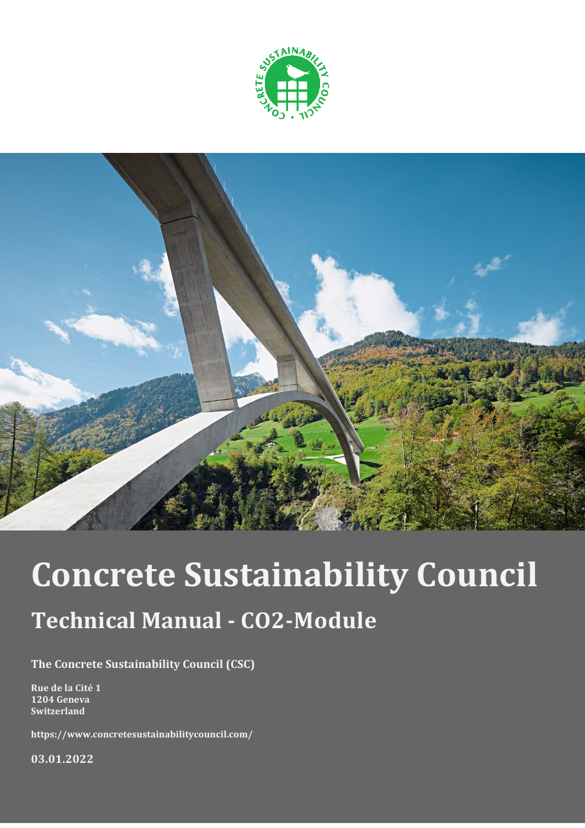



# **Concrete Sustainability Council**

## **Technical Manual - CO2-Module**

**The Concrete Sustainability Council (CSC)**

**Rue de la Cité 1 1204 Geneva Switzerland**

**https://www.concretesustainabilitycouncil.com/**

**03.01.2022**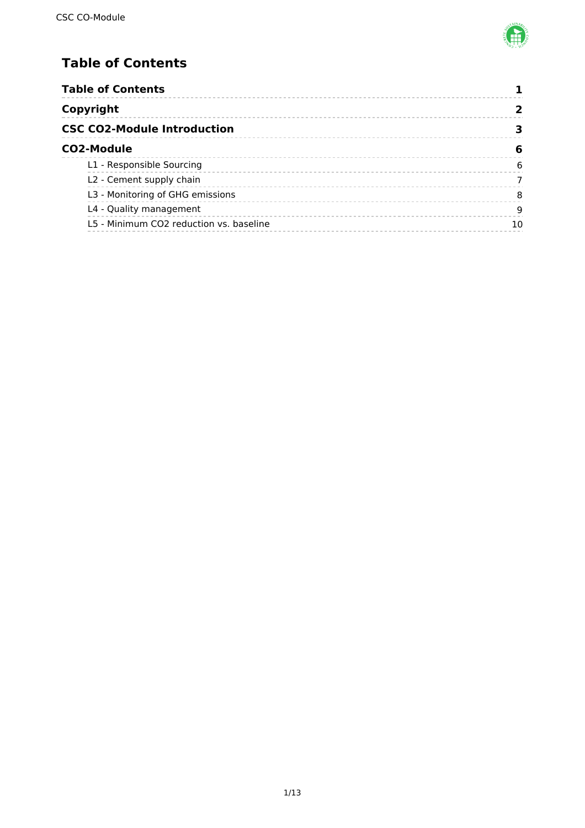

### <span id="page-1-0"></span>**Table of Contents**

| <b>Table of Contents</b>                |    |
|-----------------------------------------|----|
| Copyright                               |    |
| <b>CSC CO2-Module Introduction</b>      |    |
| <b>CO2-Module</b>                       | 6  |
| L1 - Responsible Sourcing               | 6  |
| L2 - Cement supply chain                |    |
| L3 - Monitoring of GHG emissions        | 8  |
| L4 - Quality management                 | 9  |
| L5 - Minimum CO2 reduction vs. baseline | 10 |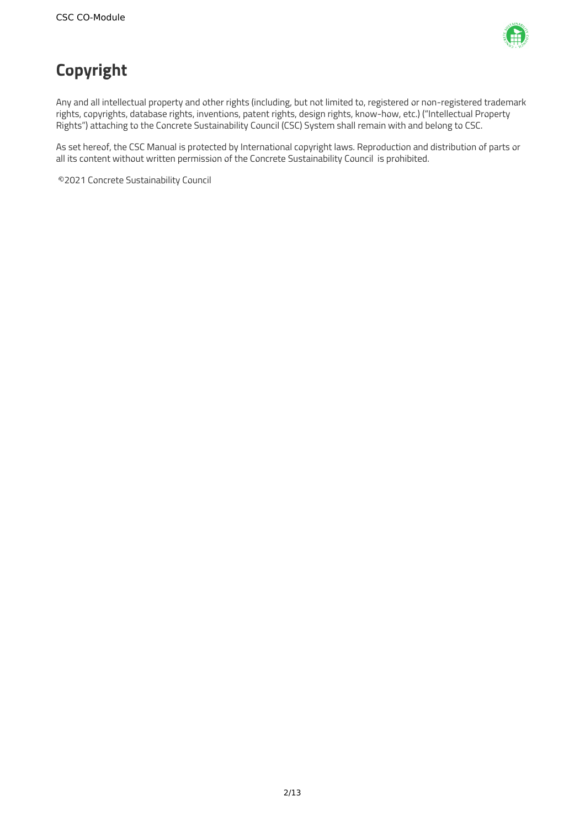

### <span id="page-2-0"></span>**Copyright**

Any and all intellectual property and other rights (including, but not limited to, registered or non-registered trademark rights, copyrights, database rights, inventions, patent rights, design rights, know-how, etc.) ("Intellectual Property Rights") attaching to the Concrete Sustainability Council (CSC) System shall remain with and belong to CSC.

As set hereof, the CSC Manual is protected by International copyright laws. Reproduction and distribution of parts or all its content without written permission of the Concrete Sustainability Council is prohibited.

©2021 Concrete Sustainability Council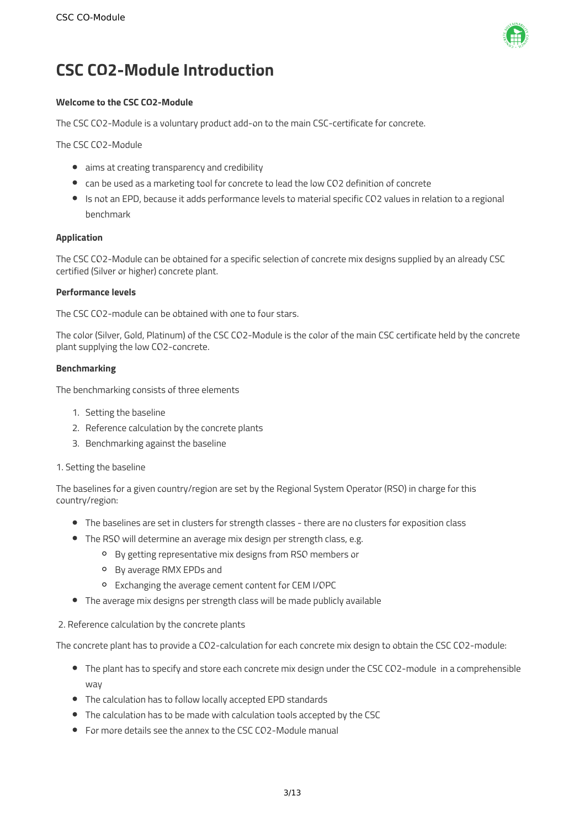

### <span id="page-3-0"></span>**CSC CO2-Module Introduction**

### **Welcome to the CSC CO2-Module**

The CSC CO2-Module is a voluntary product add-on to the main CSC-certificate for concrete.

The CSC CO2-Module

- aims at creating transparency and credibility
- can be used as a marketing tool for concrete to lead the low CO2 definition of concrete
- Is not an EPD, because it adds performance levels to material specific CO2 values in relation to a regional benchmark

### **Application**

The CSC CO2-Module can be obtained for a specific selection of concrete mix designs supplied by an already CSC certified (Silver or higher) concrete plant.

#### **Performance levels**

The CSC CO2-module can be obtained with one to four stars.

The color (Silver, Gold, Platinum) of the CSC CO2-Module is the color of the main CSC certificate held by the concrete plant supplying the low CO2-concrete.

### **Benchmarking**

The benchmarking consists of three elements

- 1. Setting the baseline
- 2. Reference calculation by the concrete plants
- 3. Benchmarking against the baseline

#### 1. Setting the baseline

The baselines for a given country/region are set by the Regional System Operator (RSO) in charge for this country/region:

- The baselines are set in clusters for strength classes there are no clusters for exposition class
- The RSO will determine an average mix design per strength class, e.g.
	- By getting representative mix designs from RSO members or
	- By average RMX EPDs and
	- Exchanging the average cement content for CEM I/OPC
- The average mix designs per strength class will be made publicly available

#### 2. Reference calculation by the concrete plants

The concrete plant has to provide a CO2-calculation for each concrete mix design to obtain the CSC CO2-module:

- The plant has to specify and store each concrete mix design under the CSC CO2-module in a comprehensible way
- The calculation has to follow locally accepted EPD standards
- The calculation has to be made with calculation tools accepted by the CSC
- For more details see the annex to the CSC CO2-Module manual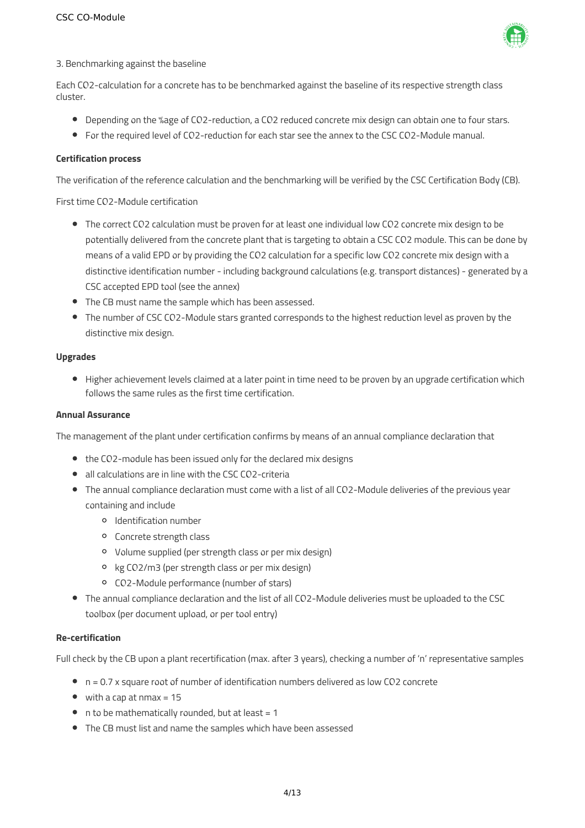

### 3. Benchmarking against the baseline

Each CO2-calculation for a concrete has to be benchmarked against the baseline of its respective strength class cluster.

- **•** Depending on the %age of CO2-reduction, a CO2 reduced concrete mix design can obtain one to four stars.
- For the required level of CO2-reduction for each star see the annex to the CSC CO2-Module manual.

#### **Certification process**

The verification of the reference calculation and the benchmarking will be verified by the CSC Certification Body (CB).

First time CO2-Module certification

- The correct CO2 calculation must be proven for at least one individual low CO2 concrete mix design to be potentially delivered from the concrete plant that is targeting to obtain a CSC CO2 module. This can be done by means of a valid EPD or by providing the CO2 calculation for a specific low CO2 concrete mix design with a distinctive identification number - including background calculations (e.g. transport distances) - generated by a CSC accepted EPD tool (see the annex)
- The CB must name the sample which has been assessed.
- The number of CSC CO2-Module stars granted corresponds to the highest reduction level as proven by the distinctive mix design.

### **Upgrades**

Higher achievement levels claimed at a later point in time need to be proven by an upgrade certification which follows the same rules as the first time certification.

### **Annual Assurance**

The management of the plant under certification confirms by means of an annual compliance declaration that

- the CO2-module has been issued only for the declared mix designs
- all calculations are in line with the CSC CO2-criteria
- The annual compliance declaration must come with a list of all CO2-Module deliveries of the previous year containing and include
	- Identification number
	- Concrete strength class
	- Volume supplied (per strength class or per mix design)
	- kg CO2/m3 (per strength class or per mix design)
	- CO2-Module performance (number of stars)
- The annual compliance declaration and the list of all CO2-Module deliveries must be uploaded to the CSC toolbox (per document upload, or per tool entry)

#### **Re-certification**

Full check by the CB upon a plant recertification (max. after 3 years), checking a number of 'n' representative samples

- n = 0.7 x square root of number of identification numbers delivered as low CO2 concrete
- $\bullet$  with a cap at nmax = 15
- $\bullet$  n to be mathematically rounded, but at least = 1
- The CB must list and name the samples which have been assessed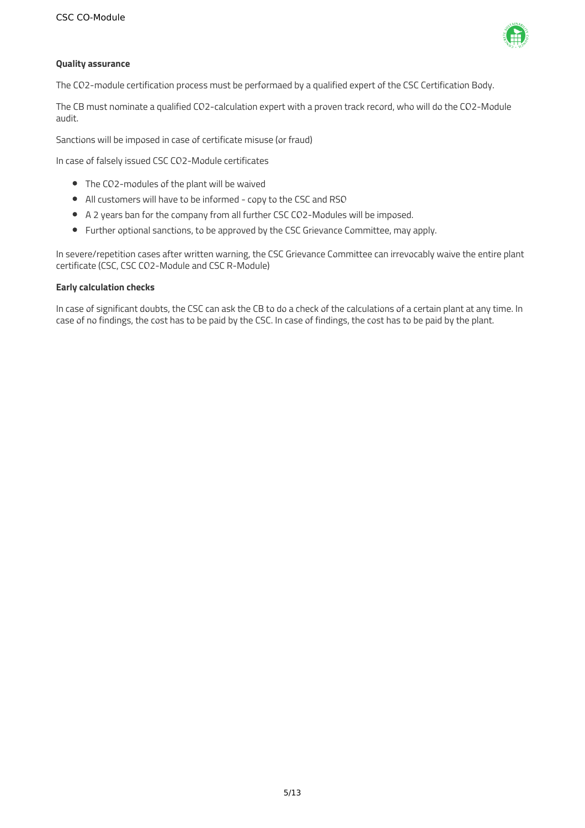

### **Quality assurance**

The CO2-module certification process must be performaed by a qualified expert of the CSC Certification Body.

The CB must nominate a qualified CO2-calculation expert with a proven track record, who will do the CO2-Module audit.

Sanctions will be imposed in case of certificate misuse (or fraud)

In case of falsely issued CSC CO2-Module certificates

- The CO2-modules of the plant will be waived
- All customers will have to be informed copy to the CSC and RSO
- A 2 years ban for the company from all further CSC CO2-Modules will be imposed.
- Further optional sanctions, to be approved by the CSC Grievance Committee, may apply.

In severe/repetition cases after written warning, the CSC Grievance Committee can irrevocably waive the entire plant certificate (CSC, CSC CO2-Module and CSC R-Module)

#### **Early calculation checks**

In case of significant doubts, the CSC can ask the CB to do a check of the calculations of a certain plant at any time. In case of no findings, the cost has to be paid by the CSC. In case of findings, the cost has to be paid by the plant.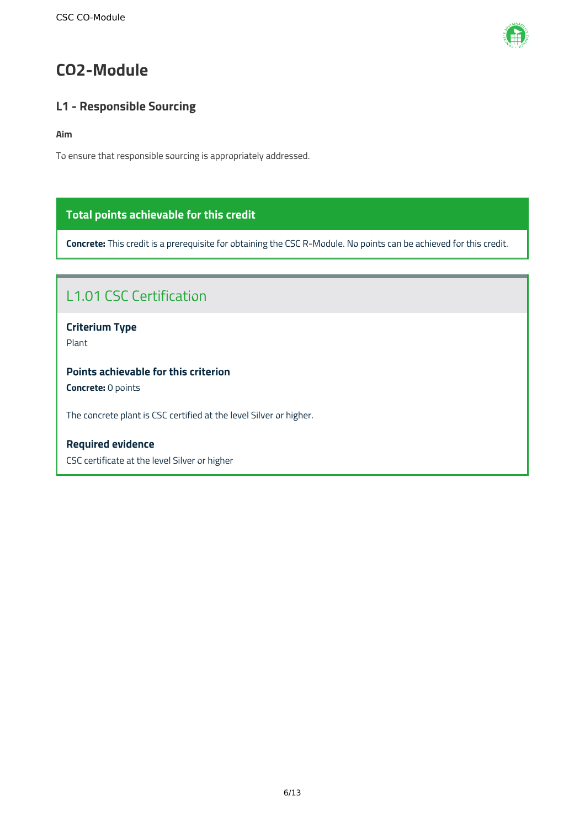

### <span id="page-6-0"></span>**CO2-Module**

### <span id="page-6-1"></span>**L1 - Responsible Sourcing**

### **Aim**

To ensure that responsible sourcing is appropriately addressed.

### **Total points achievable for this credit**

**Concrete:** This credit is a prerequisite for obtaining the CSC R-Module. No points can be achieved for this credit.

### L1.01 CSC Certification

**Criterium Type** Plant

**Points achievable for this criterion**

**Concrete:** 0 points

The concrete plant is CSC certified at the level Silver or higher.

**Required evidence** CSC certificate at the level Silver or higher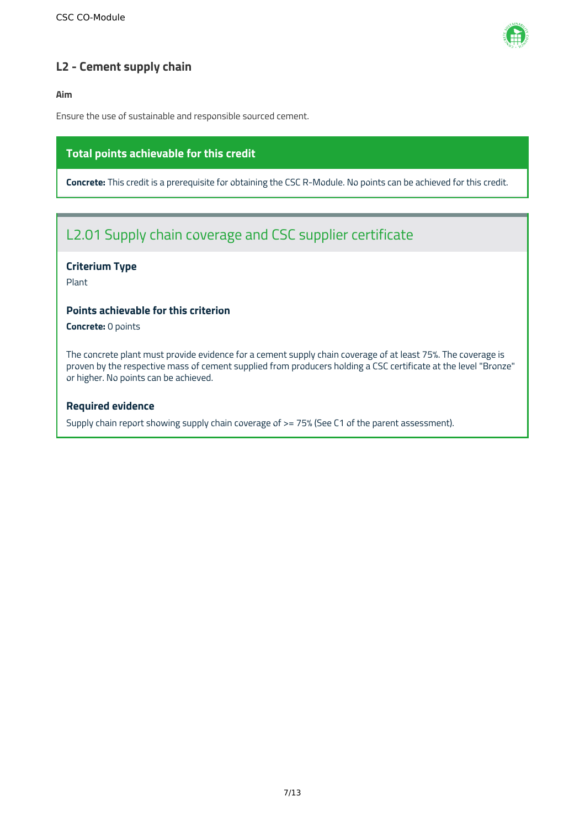

### <span id="page-7-0"></span>**L2 - Cement supply chain**

**Aim**

Ensure the use of sustainable and responsible sourced cement.

### **Total points achievable for this credit**

**Concrete:** This credit is a prerequisite for obtaining the CSC R-Module. No points can be achieved for this credit.

### L2.01 Supply chain coverage and CSC supplier certificate

### **Criterium Type**

Plant

### **Points achievable for this criterion**

**Concrete:** 0 points

The concrete plant must provide evidence for a cement supply chain coverage of at least 75%. The coverage is proven by the respective mass of cement supplied from producers holding a CSC certificate at the level "Bronze" or higher. No points can be achieved.

### **Required evidence**

Supply chain report showing supply chain coverage of >= 75% (See C1 of the parent assessment).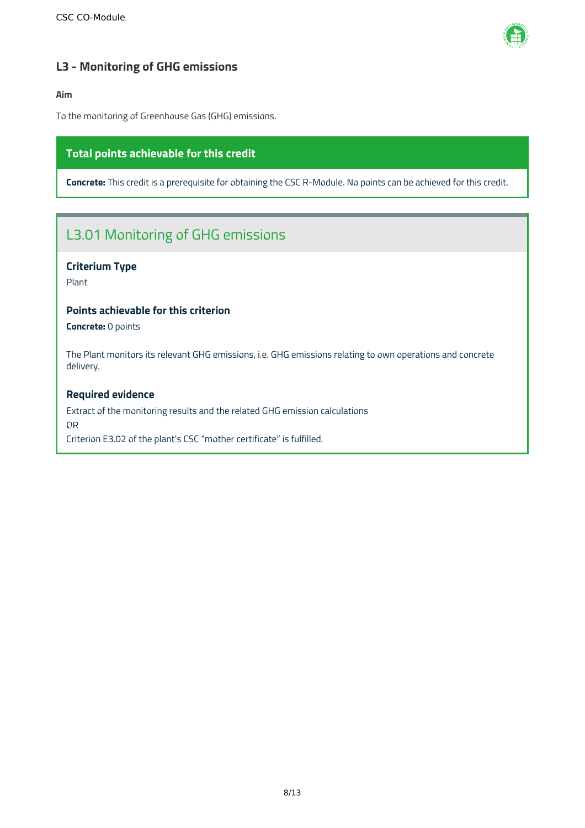

### <span id="page-8-0"></span>**L3 - Monitoring of GHG emissions**

### **Aim**

To the monitoring of Greenhouse Gas (GHG) emissions.

### **Total points achievable for this credit**

**Concrete:** This credit is a prerequisite for obtaining the CSC R-Module. No points can be achieved for this credit.

### L3.01 Monitoring of GHG emissions

### **Criterium Type**

Plant

### **Points achievable for this criterion**

**Concrete:** 0 points

The Plant monitors its relevant GHG emissions, i.e. GHG emissions relating to own operations and concrete delivery.

### **Required evidence**

Extract of the monitoring results and the related GHG emission calculations OR Criterion E3.02 of the plant's CSC "mother certificate" is fulfilled.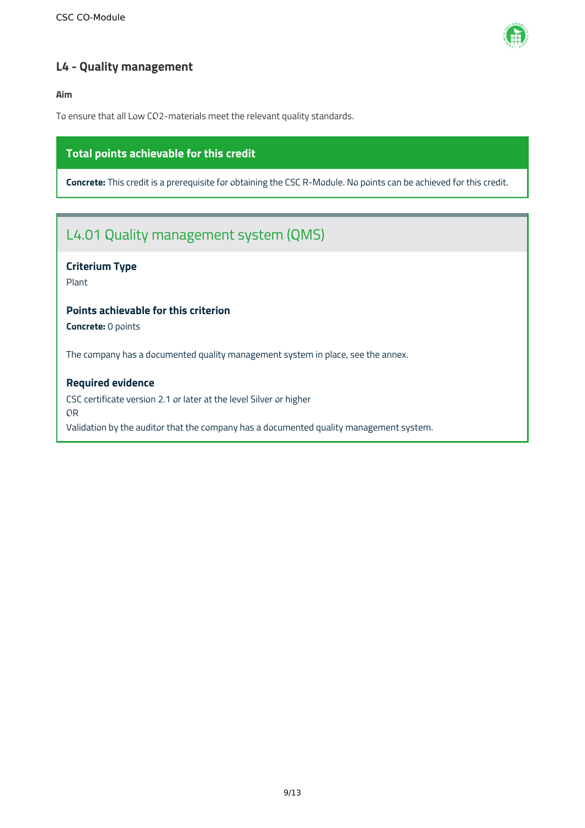

### <span id="page-9-0"></span>**L4 - Quality management**

**Aim**

To ensure that all Low CO2-materials meet the relevant quality standards.

### **Total points achievable for this credit**

**Concrete:** This credit is a prerequisite for obtaining the CSC R-Module. No points can be achieved for this credit.

### L4.01 Quality management system (QMS)

### **Criterium Type**

Plant

### **Points achievable for this criterion**

**Concrete:** 0 points

The company has a documented quality management system in place, see the annex.

### **Required evidence**

CSC certificate version 2.1 or later at the level Silver or higher OR Validation by the auditor that the company has a documented quality management system.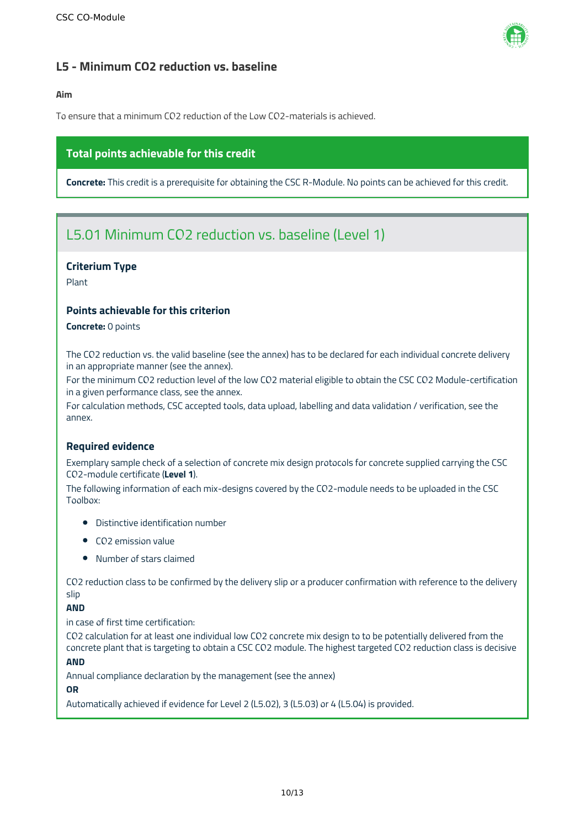

### <span id="page-10-0"></span>**L5 - Minimum CO2 reduction vs. baseline**

### **Aim**

To ensure that a minimum CO2 reduction of the Low CO2-materials is achieved.

### **Total points achievable for this credit**

**Concrete:** This credit is a prerequisite for obtaining the CSC R-Module. No points can be achieved for this credit.

### L5.01 Minimum CO2 reduction vs. baseline (Level 1)

### **Criterium Type**

Plant

### **Points achievable for this criterion**

**Concrete:** 0 points

The CO2 reduction vs. the valid baseline (see the annex) has to be declared for each individual concrete delivery in an appropriate manner (see the annex).

For the minimum CO2 reduction level of the low CO2 material eligible to obtain the CSC CO2 Module-certification in a given performance class, see the annex.

For calculation methods, CSC accepted tools, data upload, labelling and data validation / verification, see the annex.

### **Required evidence**

Exemplary sample check of a selection of concrete mix design protocols for concrete supplied carrying the CSC CO2-module certificate (**Level 1**).

The following information of each mix-designs covered by the CO2-module needs to be uploaded in the CSC Toolbox:

- Distinctive identification number
- CO2 emission value
- Number of stars claimed

CO2 reduction class to be confirmed by the delivery slip or a producer confirmation with reference to the delivery slip

### **AND**

in case of first time certification:

CO2 calculation for at least one individual low CO2 concrete mix design to to be potentially delivered from the concrete plant that is targeting to obtain a CSC CO2 module. The highest targeted CO2 reduction class is decisive

### **AND**

Annual compliance declaration by the management (see the annex)

### **OR**

Automatically achieved if evidence for Level 2 (L5.02), 3 (L5.03) or 4 (L5.04) is provided.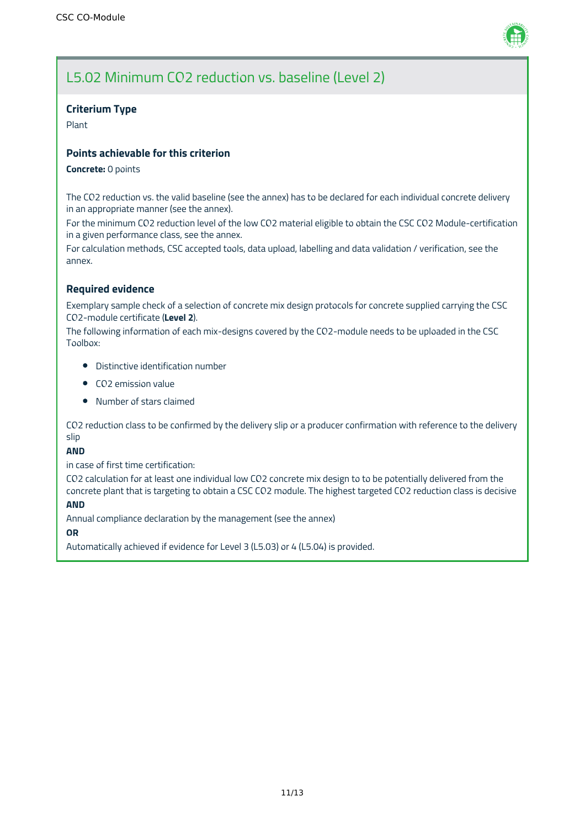

### **Criterium Type**

Plant

### **Points achievable for this criterion**

### **Concrete:** 0 points

The CO2 reduction vs. the valid baseline (see the annex) has to be declared for each individual concrete delivery in an appropriate manner (see the annex).

For the minimum CO2 reduction level of the low CO2 material eligible to obtain the CSC CO2 Module-certification in a given performance class, see the annex.

For calculation methods, CSC accepted tools, data upload, labelling and data validation / verification, see the annex.

### **Required evidence**

Exemplary sample check of a selection of concrete mix design protocols for concrete supplied carrying the CSC CO2-module certificate (**Level 2**).

The following information of each mix-designs covered by the CO2-module needs to be uploaded in the CSC Toolbox:

- Distinctive identification number
- CO2 emission value
- Number of stars claimed

CO2 reduction class to be confirmed by the delivery slip or a producer confirmation with reference to the delivery slip

**AND**

in case of first time certification:

CO2 calculation for at least one individual low CO2 concrete mix design to to be potentially delivered from the concrete plant that is targeting to obtain a CSC CO2 module. The highest targeted CO2 reduction class is decisive

### **AND**

Annual compliance declaration by the management (see the annex)

#### **OR**

Automatically achieved if evidence for Level 3 (L5.03) or 4 (L5.04) is provided.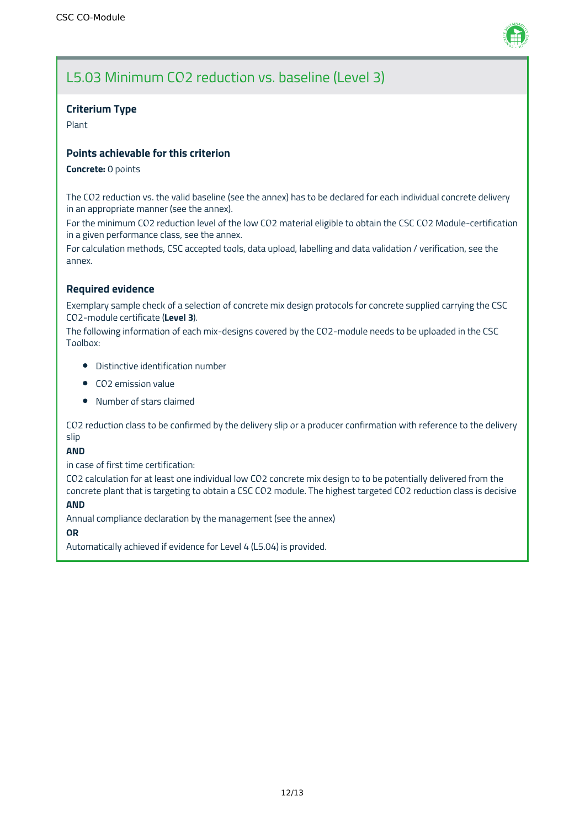

### **Criterium Type**

Plant

### **Points achievable for this criterion**

### **Concrete:** 0 points

The CO2 reduction vs. the valid baseline (see the annex) has to be declared for each individual concrete delivery in an appropriate manner (see the annex).

For the minimum CO2 reduction level of the low CO2 material eligible to obtain the CSC CO2 Module-certification in a given performance class, see the annex.

For calculation methods, CSC accepted tools, data upload, labelling and data validation / verification, see the annex.

### **Required evidence**

Exemplary sample check of a selection of concrete mix design protocols for concrete supplied carrying the CSC CO2-module certificate (**Level 3**).

The following information of each mix-designs covered by the CO2-module needs to be uploaded in the CSC Toolbox:

- Distinctive identification number
- CO2 emission value
- Number of stars claimed

CO2 reduction class to be confirmed by the delivery slip or a producer confirmation with reference to the delivery slip

**AND**

in case of first time certification:

CO2 calculation for at least one individual low CO2 concrete mix design to to be potentially delivered from the concrete plant that is targeting to obtain a CSC CO2 module. The highest targeted CO2 reduction class is decisive

### **AND**

Annual compliance declaration by the management (see the annex)

#### **OR**

Automatically achieved if evidence for Level 4 (L5.04) is provided.